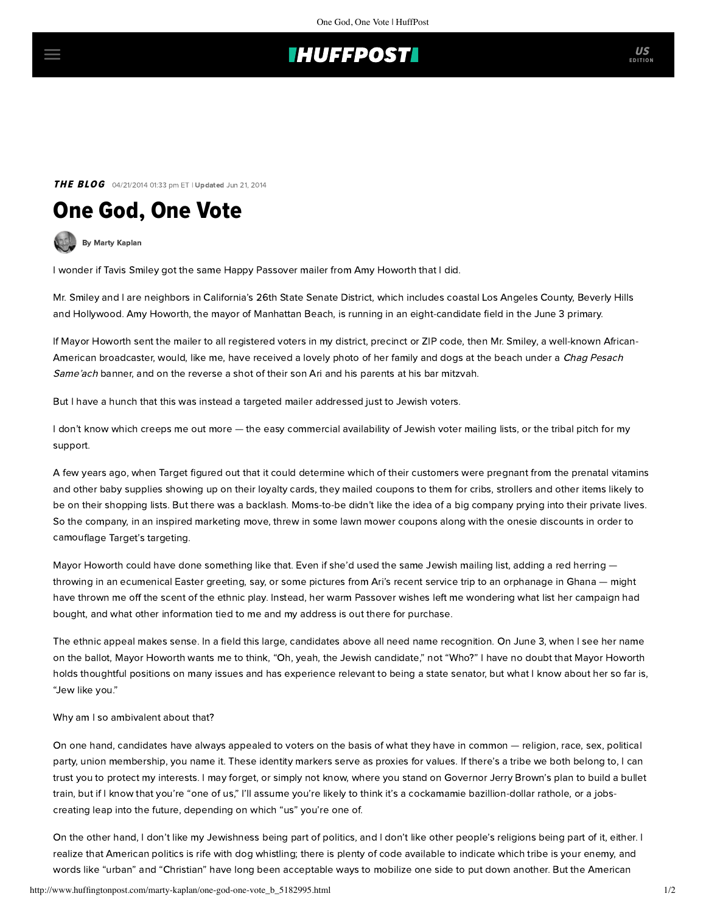## **IHUFFPOSTI**

**THE BLOG** 04/21/2014 01:33 pm ET | Updated Jun 21, 2014

# One God, One Vote

[By Marty Kaplan](http://www.huffingtonpost.com/author/marty-kaplan)

I wonder if Tavis Smiley got the same Happy Passover mailer from Amy Howorth that I did.

Mr. Smiley and I are neighbors in California's 26th State Senate District, which includes coastal Los Angeles County, Beverly Hills and Hollywood. Amy Howorth, the mayor of Manhattan Beach, is running in an eight-candidate field in the June 3 primary.

If Mayor Howorth sent the mailer to all registered voters in my district, precinct or ZIP code, then Mr. Smiley, a well-known African-American broadcaster, would, like me, have received a lovely photo of her family and dogs at the beach under a *Chag Pesach* Same'ach banner, and on the reverse a shot of their son Ari and his parents at his bar mitzvah.

But I have a hunch that this was instead a targeted mailer addressed just to Jewish voters.

I don't know which creeps me out more — the easy commercial availability of Jewish voter mailing lists, or the tribal pitch for my support.

A few years ago, when Target [figured out](http://www.nytimes.com/2012/02/19/magazine/shopping-habits.html?pagewanted=all&_r=0) that it could determine which of their customers were pregnant from the prenatal vitamins and other baby supplies showing up on their loyalty cards, they mailed coupons to them for cribs, strollers and other items likely to be on their shopping lists. But there was a backlash. Moms-to-be didn't like the idea of a big company prying into their private lives. So the company, in an inspired marketing move, threw in some lawn mower coupons along with the onesie discounts in order to camouflage Target's targeting.

Mayor Howorth could have done something like that. Even if she'd used the same Jewish mailing list, adding a red herring throwing in an ecumenical Easter greeting, say, or some pictures from Ari's recent service trip to an orphanage in Ghana — might have thrown me off the scent of the ethnic play. Instead, her warm Passover wishes left me wondering what list her campaign had bought, and what other information tied to me and my address is out there for purchase.

The ethnic appeal makes sense. In a field this large, candidates above all need name recognition. On June 3, when I see her name on the ballot, Mayor Howorth wants me to think, "Oh, yeah, the Jewish candidate," not "Who?" I have no doubt that Mayor Howorth holds thoughtful positions on many issues and has experience relevant to being a state senator, but what I know about her so far is, "Jew like you."

#### Why am I so ambivalent about that?

On one hand, candidates have always appealed to voters on the basis of what they have in common — religion, race, sex, political party, union membership, you name it. These identity markers serve as proxies for values. If there's a tribe we both belong to, I can trust you to protect my interests. I may forget, or simply not know, where you stand on Governor Jerry Brown's plan to build a bullet train, but if I know that you're "one of us," I'll assume you're likely to think it's a cockamamie bazillion-dollar rathole, or a jobscreating leap into the future, depending on which "us" you're one of.

On the other hand, I don't like my Jewishness being part of politics, and I don't like other people's religions being part of it, either. I realize that American politics is rife with dog whistling; there is plenty of code available to indicate which tribe is your enemy, and words like "urban" and "Christian" have long been acceptable ways to mobilize one side to put down another. But the American